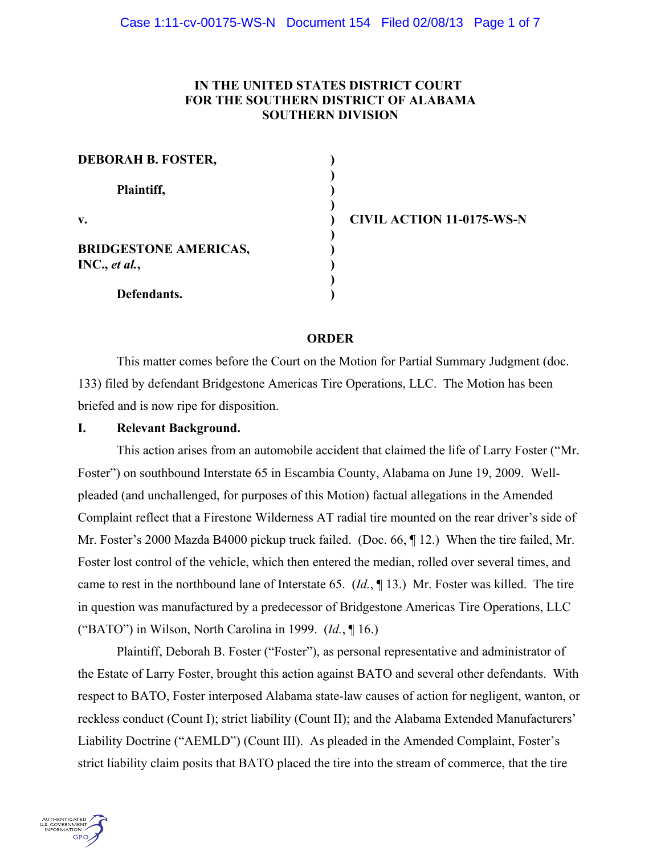# **IN THE UNITED STATES DISTRICT COURT FOR THE SOUTHERN DISTRICT OF ALABAMA SOUTHERN DIVISION**

| <b>DEBORAH B. FOSTER,</b>    |  |
|------------------------------|--|
| Plaintiff,                   |  |
| $V_{\bullet}$                |  |
| <b>BRIDGESTONE AMERICAS,</b> |  |
| INC., et al.,                |  |
| Defendants.                  |  |

**v. ) CIVIL ACTION 11-0175-WS-N**

## **ORDER**

This matter comes before the Court on the Motion for Partial Summary Judgment (doc. 133) filed by defendant Bridgestone Americas Tire Operations, LLC. The Motion has been briefed and is now ripe for disposition.

## **I. Relevant Background.**

This action arises from an automobile accident that claimed the life of Larry Foster ("Mr. Foster") on southbound Interstate 65 in Escambia County, Alabama on June 19, 2009. Wellpleaded (and unchallenged, for purposes of this Motion) factual allegations in the Amended Complaint reflect that a Firestone Wilderness AT radial tire mounted on the rear driver's side of Mr. Foster's 2000 Mazda B4000 pickup truck failed. (Doc. 66, ¶ 12.) When the tire failed, Mr. Foster lost control of the vehicle, which then entered the median, rolled over several times, and came to rest in the northbound lane of Interstate 65. (*Id.*, ¶ 13.) Mr. Foster was killed. The tire in question was manufactured by a predecessor of Bridgestone Americas Tire Operations, LLC ("BATO") in Wilson, North Carolina in 1999. (*Id.*, ¶ 16.)

Plaintiff, Deborah B. Foster ("Foster"), as personal representative and administrator of the Estate of Larry Foster, brought this action against BATO and several other defendants. With respect to BATO, Foster interposed Alabama state-law causes of action for negligent, wanton, or reckless conduct (Count I); strict liability (Count II); and the Alabama Extended Manufacturers' Liability Doctrine ("AEMLD") (Count III). As pleaded in the Amended Complaint, Foster's strict liability claim posits that BATO placed the tire into the stream of commerce, that the tire

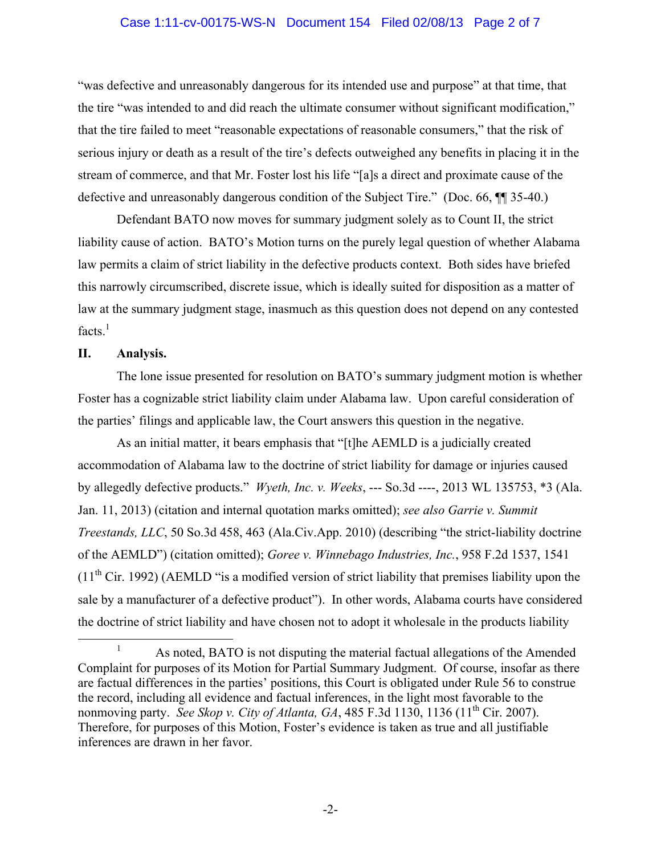#### Case 1:11-cv-00175-WS-N Document 154 Filed 02/08/13 Page 2 of 7

"was defective and unreasonably dangerous for its intended use and purpose" at that time, that the tire "was intended to and did reach the ultimate consumer without significant modification," that the tire failed to meet "reasonable expectations of reasonable consumers," that the risk of serious injury or death as a result of the tire's defects outweighed any benefits in placing it in the stream of commerce, and that Mr. Foster lost his life "[a]s a direct and proximate cause of the defective and unreasonably dangerous condition of the Subject Tire." (Doc. 66, ¶¶ 35-40.)

Defendant BATO now moves for summary judgment solely as to Count II, the strict liability cause of action. BATO's Motion turns on the purely legal question of whether Alabama law permits a claim of strict liability in the defective products context. Both sides have briefed this narrowly circumscribed, discrete issue, which is ideally suited for disposition as a matter of law at the summary judgment stage, inasmuch as this question does not depend on any contested  $facts.<sup>1</sup>$ 

## **II. Analysis.**

The lone issue presented for resolution on BATO's summary judgment motion is whether Foster has a cognizable strict liability claim under Alabama law. Upon careful consideration of the parties' filings and applicable law, the Court answers this question in the negative.

As an initial matter, it bears emphasis that "[t]he AEMLD is a judicially created accommodation of Alabama law to the doctrine of strict liability for damage or injuries caused by allegedly defective products." *Wyeth, Inc. v. Weeks*, --- So.3d ----, 2013 WL 135753, \*3 (Ala. Jan. 11, 2013) (citation and internal quotation marks omitted); *see also Garrie v. Summit Treestands, LLC*, 50 So.3d 458, 463 (Ala.Civ.App. 2010) (describing "the strict-liability doctrine of the AEMLD") (citation omitted); *Goree v. Winnebago Industries, Inc.*, 958 F.2d 1537, 1541  $(11<sup>th</sup> Cir. 1992)$  (AEMLD "is a modified version of strict liability that premises liability upon the sale by a manufacturer of a defective product"). In other words, Alabama courts have considered the doctrine of strict liability and have chosen not to adopt it wholesale in the products liability

<sup>&</sup>lt;sup>1</sup> As noted, BATO is not disputing the material factual allegations of the Amended Complaint for purposes of its Motion for Partial Summary Judgment. Of course, insofar as there are factual differences in the parties' positions, this Court is obligated under Rule 56 to construe the record, including all evidence and factual inferences, in the light most favorable to the nonmoving party. *See Skop v. City of Atlanta, GA*, 485 F.3d 1130, 1136 (11<sup>th</sup> Cir. 2007). Therefore, for purposes of this Motion, Foster's evidence is taken as true and all justifiable inferences are drawn in her favor.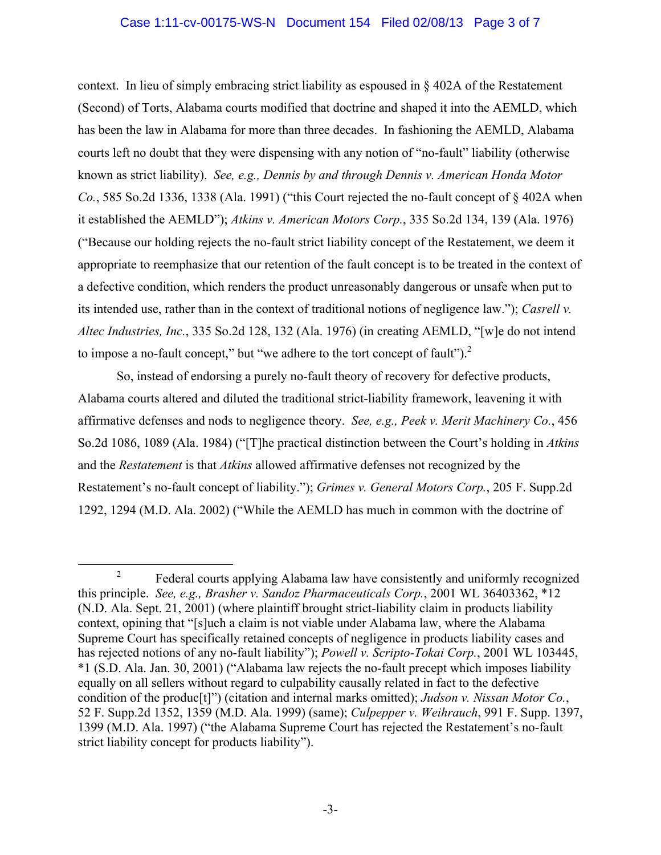## Case 1:11-cv-00175-WS-N Document 154 Filed 02/08/13 Page 3 of 7

context. In lieu of simply embracing strict liability as espoused in § 402A of the Restatement (Second) of Torts, Alabama courts modified that doctrine and shaped it into the AEMLD, which has been the law in Alabama for more than three decades. In fashioning the AEMLD, Alabama courts left no doubt that they were dispensing with any notion of "no-fault" liability (otherwise known as strict liability). *See, e.g., Dennis by and through Dennis v. American Honda Motor Co.*, 585 So.2d 1336, 1338 (Ala. 1991) ("this Court rejected the no-fault concept of § 402A when it established the AEMLD"); *Atkins v. American Motors Corp.*, 335 So.2d 134, 139 (Ala. 1976) ("Because our holding rejects the no-fault strict liability concept of the Restatement, we deem it appropriate to reemphasize that our retention of the fault concept is to be treated in the context of a defective condition, which renders the product unreasonably dangerous or unsafe when put to its intended use, rather than in the context of traditional notions of negligence law."); *Casrell v. Altec Industries, Inc.*, 335 So.2d 128, 132 (Ala. 1976) (in creating AEMLD, "[w]e do not intend to impose a no-fault concept," but "we adhere to the tort concept of fault" $)^2$ .

So, instead of endorsing a purely no-fault theory of recovery for defective products, Alabama courts altered and diluted the traditional strict-liability framework, leavening it with affirmative defenses and nods to negligence theory. *See, e.g., Peek v. Merit Machinery Co.*, 456 So.2d 1086, 1089 (Ala. 1984) ("[T]he practical distinction between the Court's holding in *Atkins* and the *Restatement* is that *Atkins* allowed affirmative defenses not recognized by the Restatement's no-fault concept of liability."); *Grimes v. General Motors Corp.*, 205 F. Supp.2d 1292, 1294 (M.D. Ala. 2002) ("While the AEMLD has much in common with the doctrine of

<sup>&</sup>lt;sup>2</sup> Federal courts applying Alabama law have consistently and uniformly recognized this principle. *See, e.g., Brasher v. Sandoz Pharmaceuticals Corp.*, 2001 WL 36403362, \*12 (N.D. Ala. Sept. 21, 2001) (where plaintiff brought strict-liability claim in products liability context, opining that "[s]uch a claim is not viable under Alabama law, where the Alabama Supreme Court has specifically retained concepts of negligence in products liability cases and has rejected notions of any no-fault liability"); *Powell v. Scripto-Tokai Corp.*, 2001 WL 103445, \*1 (S.D. Ala. Jan. 30, 2001) ("Alabama law rejects the no-fault precept which imposes liability equally on all sellers without regard to culpability causally related in fact to the defective condition of the produc[t]") (citation and internal marks omitted); *Judson v. Nissan Motor Co.*, 52 F. Supp.2d 1352, 1359 (M.D. Ala. 1999) (same); *Culpepper v. Weihrauch*, 991 F. Supp. 1397, 1399 (M.D. Ala. 1997) ("the Alabama Supreme Court has rejected the Restatement's no-fault strict liability concept for products liability").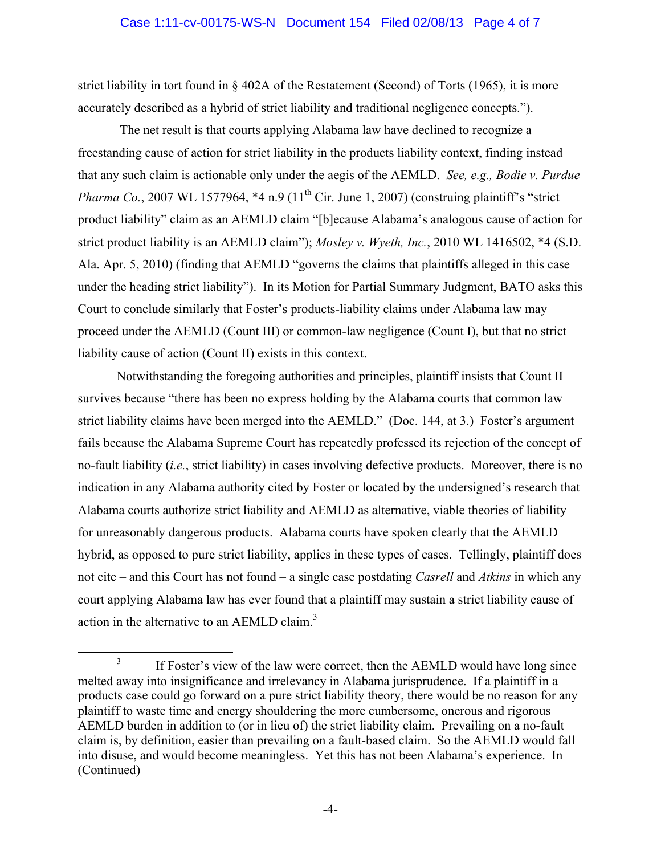#### Case 1:11-cv-00175-WS-N Document 154 Filed 02/08/13 Page 4 of 7

strict liability in tort found in § 402A of the Restatement (Second) of Torts (1965), it is more accurately described as a hybrid of strict liability and traditional negligence concepts.").

The net result is that courts applying Alabama law have declined to recognize a freestanding cause of action for strict liability in the products liability context, finding instead that any such claim is actionable only under the aegis of the AEMLD. *See, e.g., Bodie v. Purdue Pharma Co.*, 2007 WL 1577964,  $*4$  n.9 ( $11<sup>th</sup>$  Cir. June 1, 2007) (construing plaintiff's "strict") product liability" claim as an AEMLD claim "[b]ecause Alabama's analogous cause of action for strict product liability is an AEMLD claim"); *Mosley v. Wyeth, Inc.*, 2010 WL 1416502, \*4 (S.D. Ala. Apr. 5, 2010) (finding that AEMLD "governs the claims that plaintiffs alleged in this case under the heading strict liability"). In its Motion for Partial Summary Judgment, BATO asks this Court to conclude similarly that Foster's products-liability claims under Alabama law may proceed under the AEMLD (Count III) or common-law negligence (Count I), but that no strict liability cause of action (Count II) exists in this context.

Notwithstanding the foregoing authorities and principles, plaintiff insists that Count II survives because "there has been no express holding by the Alabama courts that common law strict liability claims have been merged into the AEMLD." (Doc. 144, at 3.) Foster's argument fails because the Alabama Supreme Court has repeatedly professed its rejection of the concept of no-fault liability (*i.e.*, strict liability) in cases involving defective products. Moreover, there is no indication in any Alabama authority cited by Foster or located by the undersigned's research that Alabama courts authorize strict liability and AEMLD as alternative, viable theories of liability for unreasonably dangerous products. Alabama courts have spoken clearly that the AEMLD hybrid, as opposed to pure strict liability, applies in these types of cases. Tellingly, plaintiff does not cite – and this Court has not found – a single case postdating *Casrell* and *Atkins* in which any court applying Alabama law has ever found that a plaintiff may sustain a strict liability cause of action in the alternative to an AEMLD claim.<sup>3</sup>

<sup>&</sup>lt;sup>3</sup> If Foster's view of the law were correct, then the AEMLD would have long since melted away into insignificance and irrelevancy in Alabama jurisprudence. If a plaintiff in a products case could go forward on a pure strict liability theory, there would be no reason for any plaintiff to waste time and energy shouldering the more cumbersome, onerous and rigorous AEMLD burden in addition to (or in lieu of) the strict liability claim. Prevailing on a no-fault claim is, by definition, easier than prevailing on a fault-based claim. So the AEMLD would fall into disuse, and would become meaningless. Yet this has not been Alabama's experience. In (Continued)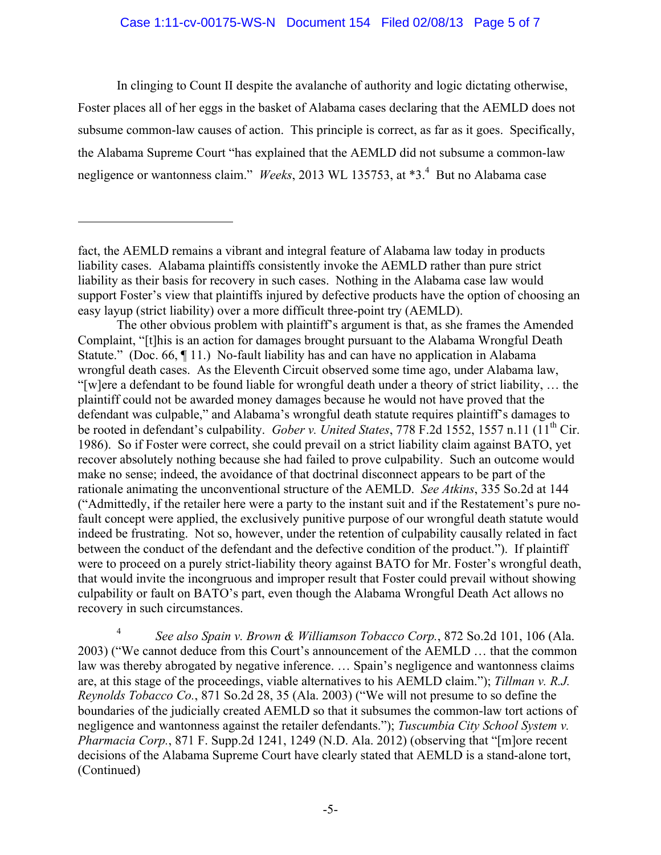## Case 1:11-cv-00175-WS-N Document 154 Filed 02/08/13 Page 5 of 7

In clinging to Count II despite the avalanche of authority and logic dictating otherwise, Foster places all of her eggs in the basket of Alabama cases declaring that the AEMLD does not subsume common-law causes of action. This principle is correct, as far as it goes. Specifically, the Alabama Supreme Court "has explained that the AEMLD did not subsume a common-law negligence or wantonness claim." *Weeks*, 2013 WL 135753, at \*3.<sup>4</sup> But no Alabama case

 $\overline{a}$ 

The other obvious problem with plaintiff's argument is that, as she frames the Amended Complaint, "[t]his is an action for damages brought pursuant to the Alabama Wrongful Death Statute." (Doc. 66, ¶ 11.) No-fault liability has and can have no application in Alabama wrongful death cases. As the Eleventh Circuit observed some time ago, under Alabama law, "[w]ere a defendant to be found liable for wrongful death under a theory of strict liability, … the plaintiff could not be awarded money damages because he would not have proved that the defendant was culpable," and Alabama's wrongful death statute requires plaintiff's damages to be rooted in defendant's culpability. *Gober v. United States*, 778 F.2d 1552, 1557 n.11 (11<sup>th</sup> Cir. 1986). So if Foster were correct, she could prevail on a strict liability claim against BATO, yet recover absolutely nothing because she had failed to prove culpability. Such an outcome would make no sense; indeed, the avoidance of that doctrinal disconnect appears to be part of the rationale animating the unconventional structure of the AEMLD. *See Atkins*, 335 So.2d at 144 ("Admittedly, if the retailer here were a party to the instant suit and if the Restatement's pure nofault concept were applied, the exclusively punitive purpose of our wrongful death statute would indeed be frustrating. Not so, however, under the retention of culpability causally related in fact between the conduct of the defendant and the defective condition of the product."). If plaintiff were to proceed on a purely strict-liability theory against BATO for Mr. Foster's wrongful death, that would invite the incongruous and improper result that Foster could prevail without showing culpability or fault on BATO's part, even though the Alabama Wrongful Death Act allows no recovery in such circumstances.

<sup>4</sup> *See also Spain v. Brown & Williamson Tobacco Corp.*, 872 So.2d 101, 106 (Ala. 2003) ("We cannot deduce from this Court's announcement of the AEMLD … that the common law was thereby abrogated by negative inference. … Spain's negligence and wantonness claims are, at this stage of the proceedings, viable alternatives to his AEMLD claim."); *Tillman v. R.J. Reynolds Tobacco Co.*, 871 So.2d 28, 35 (Ala. 2003) ("We will not presume to so define the boundaries of the judicially created AEMLD so that it subsumes the common-law tort actions of negligence and wantonness against the retailer defendants."); *Tuscumbia City School System v. Pharmacia Corp.*, 871 F. Supp.2d 1241, 1249 (N.D. Ala. 2012) (observing that "[m]ore recent decisions of the Alabama Supreme Court have clearly stated that AEMLD is a stand-alone tort, (Continued)

fact, the AEMLD remains a vibrant and integral feature of Alabama law today in products liability cases. Alabama plaintiffs consistently invoke the AEMLD rather than pure strict liability as their basis for recovery in such cases. Nothing in the Alabama case law would support Foster's view that plaintiffs injured by defective products have the option of choosing an easy layup (strict liability) over a more difficult three-point try (AEMLD).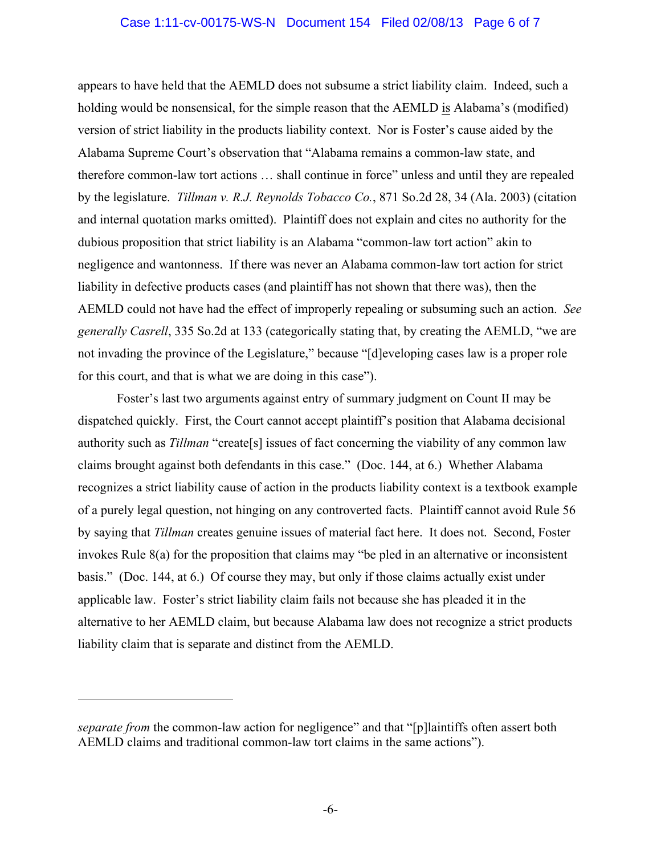#### Case 1:11-cv-00175-WS-N Document 154 Filed 02/08/13 Page 6 of 7

appears to have held that the AEMLD does not subsume a strict liability claim. Indeed, such a holding would be nonsensical, for the simple reason that the AEMLD is Alabama's (modified) version of strict liability in the products liability context. Nor is Foster's cause aided by the Alabama Supreme Court's observation that "Alabama remains a common-law state, and therefore common-law tort actions … shall continue in force" unless and until they are repealed by the legislature. *Tillman v. R.J. Reynolds Tobacco Co.*, 871 So.2d 28, 34 (Ala. 2003) (citation and internal quotation marks omitted). Plaintiff does not explain and cites no authority for the dubious proposition that strict liability is an Alabama "common-law tort action" akin to negligence and wantonness. If there was never an Alabama common-law tort action for strict liability in defective products cases (and plaintiff has not shown that there was), then the AEMLD could not have had the effect of improperly repealing or subsuming such an action. *See generally Casrell*, 335 So.2d at 133 (categorically stating that, by creating the AEMLD, "we are not invading the province of the Legislature," because "[d]eveloping cases law is a proper role for this court, and that is what we are doing in this case").

Foster's last two arguments against entry of summary judgment on Count II may be dispatched quickly. First, the Court cannot accept plaintiff's position that Alabama decisional authority such as *Tillman* "create[s] issues of fact concerning the viability of any common law claims brought against both defendants in this case." (Doc. 144, at 6.) Whether Alabama recognizes a strict liability cause of action in the products liability context is a textbook example of a purely legal question, not hinging on any controverted facts. Plaintiff cannot avoid Rule 56 by saying that *Tillman* creates genuine issues of material fact here. It does not. Second, Foster invokes Rule 8(a) for the proposition that claims may "be pled in an alternative or inconsistent basis." (Doc. 144, at 6.) Of course they may, but only if those claims actually exist under applicable law. Foster's strict liability claim fails not because she has pleaded it in the alternative to her AEMLD claim, but because Alabama law does not recognize a strict products liability claim that is separate and distinct from the AEMLD.

 $\overline{a}$ 

*separate from* the common-law action for negligence" and that "[p]laintiffs often assert both AEMLD claims and traditional common-law tort claims in the same actions").